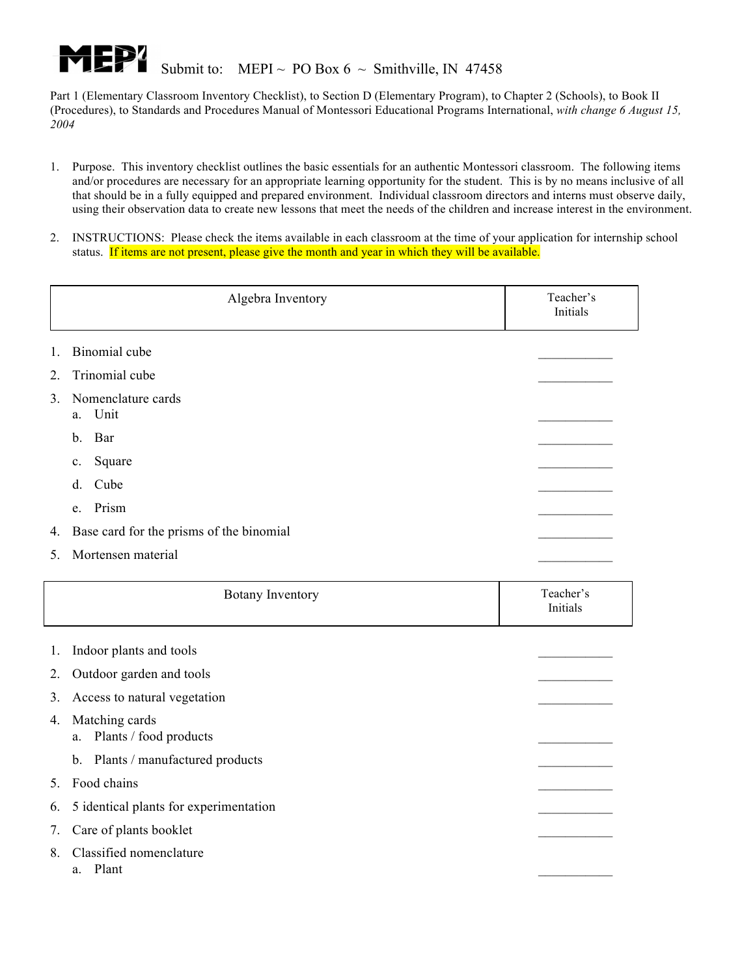

- 1. Purpose. This inventory checklist outlines the basic essentials for an authentic Montessori classroom. The following items and/or procedures are necessary for an appropriate learning opportunity for the student. This is by no means inclusive of all that should be in a fully equipped and prepared environment. Individual classroom directors and interns must observe daily, using their observation data to create new lessons that meet the needs of the children and increase interest in the environment.
- 2. INSTRUCTIONS: Please check the items available in each classroom at the time of your application for internship school status. If items are not present, please give the month and year in which they will be available.

|         | Algebra Inventory                        | Teacher's<br>Initials |
|---------|------------------------------------------|-----------------------|
| 1.      | Binomial cube                            |                       |
| 2.      | Trinomial cube                           |                       |
| $3_{-}$ | Nomenclature cards<br>a. Unit            |                       |
|         | b. Bar                                   |                       |
|         | Square<br>$c_{\cdot}$                    |                       |
|         | Cube<br>d.                               |                       |
|         | e. Prism                                 |                       |
| 4.      | Base card for the prisms of the binomial |                       |
| 5.      | Mortensen material                       |                       |

|    | <b>Botany Inventory</b>                        | Teacher's<br>Initials |
|----|------------------------------------------------|-----------------------|
| 1. | Indoor plants and tools                        |                       |
| 2. | Outdoor garden and tools                       |                       |
| 3. | Access to natural vegetation                   |                       |
| 4. | Matching cards<br>Plants / food products<br>a. |                       |
|    | Plants / manufactured products<br>$b_{-}$      |                       |
| 5. | Food chains                                    |                       |
| 6. | 5 identical plants for experimentation         |                       |
| 7. | Care of plants booklet                         |                       |
| 8  | Classified nomenclature<br>Plant<br>a.         |                       |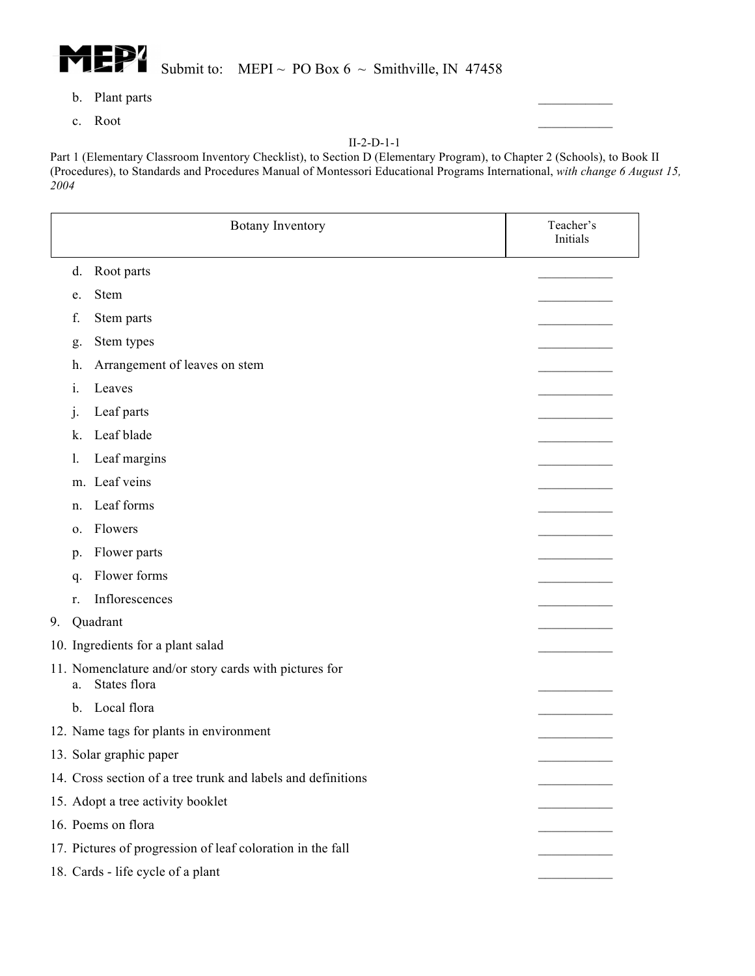

- b. Plant parts
- c. Root

|    |                | <b>Botany Inventory</b>                                               | Teacher's<br>Initials |
|----|----------------|-----------------------------------------------------------------------|-----------------------|
|    | d.             | Root parts                                                            |                       |
|    | e.             | Stem                                                                  |                       |
|    | f.             | Stem parts                                                            |                       |
|    | g.             | Stem types                                                            |                       |
|    | h.             | Arrangement of leaves on stem                                         |                       |
|    | 1.             | Leaves                                                                |                       |
|    | j.             | Leaf parts                                                            |                       |
|    | k.             | Leaf blade                                                            |                       |
|    | 1.             | Leaf margins                                                          |                       |
|    |                | m. Leaf veins                                                         |                       |
|    | n.             | Leaf forms                                                            |                       |
|    | 0.             | Flowers                                                               |                       |
|    | p.             | Flower parts                                                          |                       |
|    | q.             | Flower forms                                                          |                       |
|    | r.             | Inflorescences                                                        |                       |
| 9. |                | Quadrant                                                              |                       |
|    |                | 10. Ingredients for a plant salad                                     |                       |
|    | a.             | 11. Nomenclature and/or story cards with pictures for<br>States flora |                       |
|    | $\mathbf{b}$ . | Local flora                                                           |                       |
|    |                | 12. Name tags for plants in environment                               |                       |
|    |                | 13. Solar graphic paper                                               |                       |
|    |                | 14. Cross section of a tree trunk and labels and definitions          |                       |
|    |                | 15. Adopt a tree activity booklet                                     |                       |
|    |                | 16. Poems on flora                                                    |                       |
|    |                | 17. Pictures of progression of leaf coloration in the fall            |                       |
|    |                | 18. Cards - life cycle of a plant                                     |                       |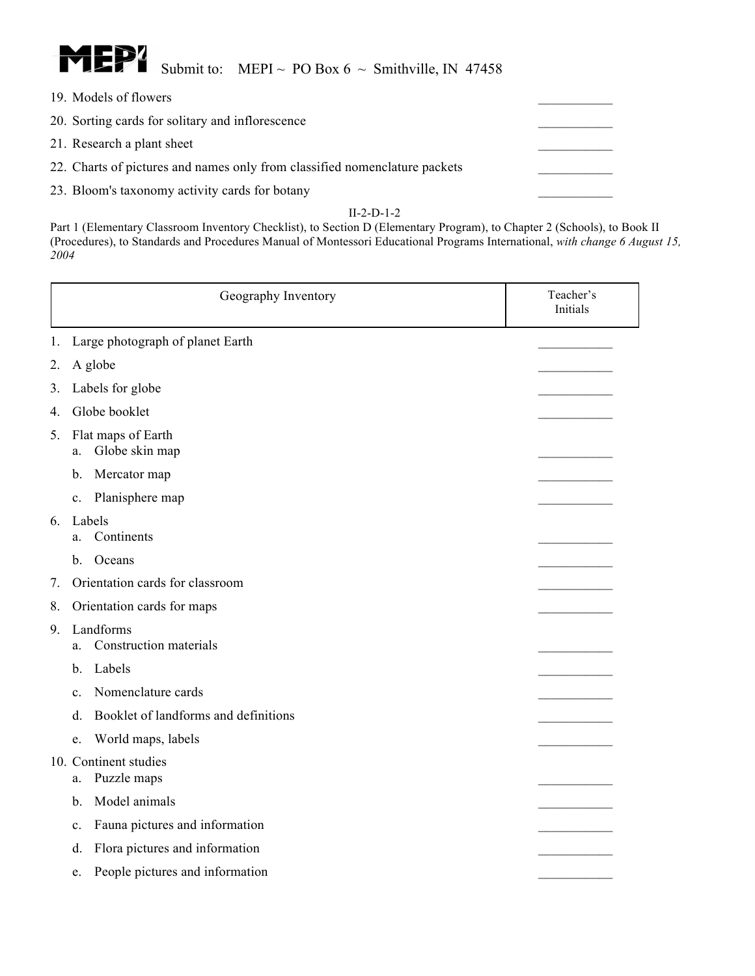

- 19. Models of flowers
- 20. Sorting cards for solitary and inflorescence
- 21. Research a plant sheet
- 22. Charts of pictures and names only from classified nomenclature packets
- 23. Bloom's taxonomy activity cards for botany

|    |                | Geography Inventory                  | Teacher's<br>Initials |
|----|----------------|--------------------------------------|-----------------------|
| 1. |                | Large photograph of planet Earth     |                       |
| 2. |                | A globe                              |                       |
| 3. |                | Labels for globe                     |                       |
| 4. |                | Globe booklet                        |                       |
| 5. | a.             | Flat maps of Earth<br>Globe skin map |                       |
|    | b.             | Mercator map                         |                       |
|    | c.             | Planisphere map                      |                       |
| 6. | a.             | Labels<br>Continents                 |                       |
|    | $\mathbf{b}$ . | Oceans                               |                       |
| 7. |                | Orientation cards for classroom      |                       |
| 8. |                | Orientation cards for maps           |                       |
| 9. | a.             | Landforms<br>Construction materials  |                       |
|    | b.             | Labels                               |                       |
|    | $\mathbf{c}$ . | Nomenclature cards                   |                       |
|    | d.             | Booklet of landforms and definitions |                       |
|    | e.             | World maps, labels                   |                       |
|    | a.             | 10. Continent studies<br>Puzzle maps |                       |
|    | $b$ .          | Model animals                        |                       |
|    | $\mathbf{c}$ . | Fauna pictures and information       |                       |
|    | d.             | Flora pictures and information       |                       |
|    | e.             | People pictures and information      |                       |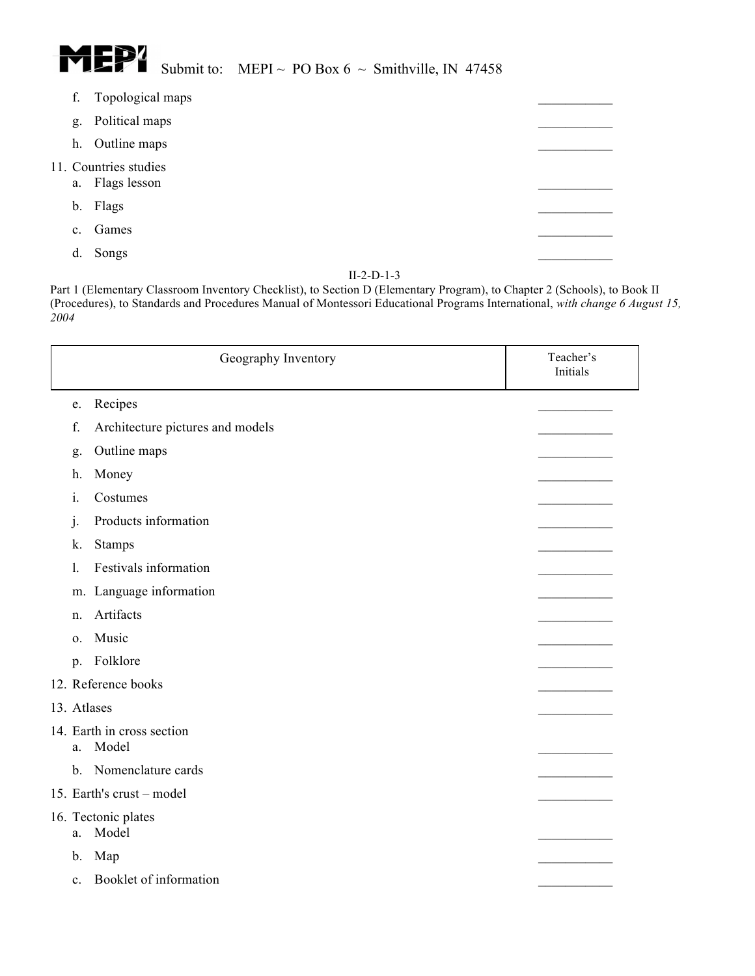

| f.             | Topological maps                      |  |
|----------------|---------------------------------------|--|
| g.             | Political maps                        |  |
| h.             | Outline maps                          |  |
| a.             | 11. Countries studies<br>Flags lesson |  |
|                | b. Flags                              |  |
| C <sub>1</sub> | Games                                 |  |
| d.             | Songs                                 |  |
|                |                                       |  |

|                | Geography Inventory                 | Teacher's<br>Initials |
|----------------|-------------------------------------|-----------------------|
| e.             | Recipes                             |                       |
| f.             | Architecture pictures and models    |                       |
| g.             | Outline maps                        |                       |
| h.             | Money                               |                       |
| i.             | Costumes                            |                       |
| 1.             | Products information                |                       |
| k.             | Stamps                              |                       |
| 1.             | Festivals information               |                       |
|                | m. Language information             |                       |
| n.             | Artifacts                           |                       |
| $\mathbf{O}$ . | Music                               |                       |
| p.             | Folklore                            |                       |
|                | 12. Reference books                 |                       |
| 13. Atlases    |                                     |                       |
| a.             | 14. Earth in cross section<br>Model |                       |
| $b_{-}$        | Nomenclature cards                  |                       |
|                | 15. Earth's crust - model           |                       |
| a.             | 16. Tectonic plates<br>Model        |                       |
| b.             | Map                                 |                       |
| $c_{\cdot}$    | Booklet of information              |                       |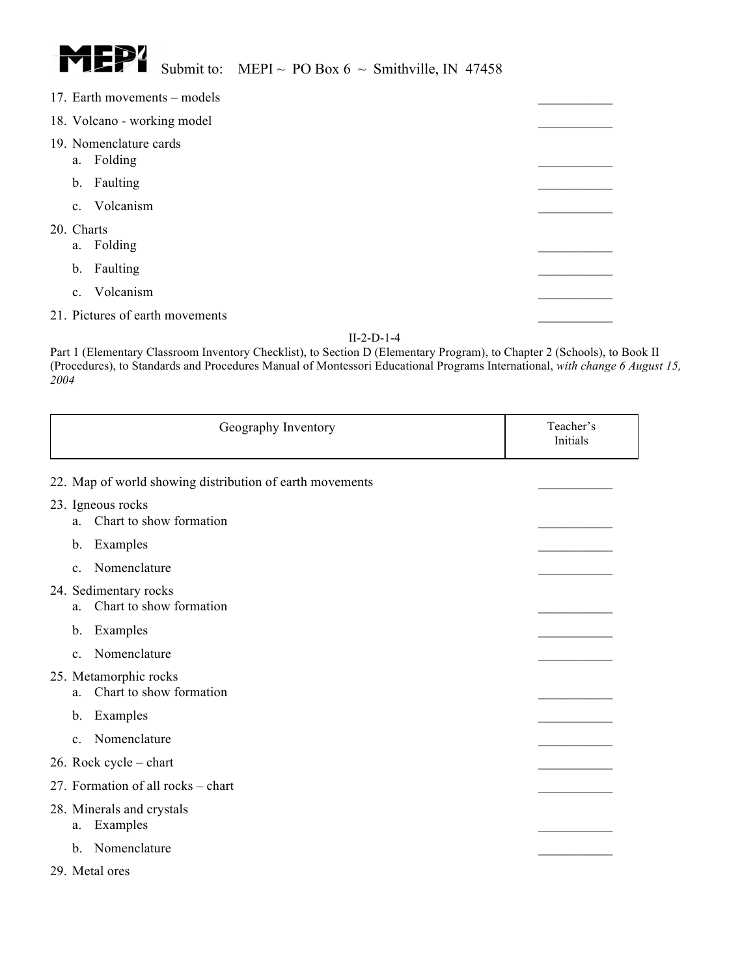

|                             |            | 17. Earth movements – models         |  |  |
|-----------------------------|------------|--------------------------------------|--|--|
| 18. Volcano - working model |            |                                      |  |  |
|                             |            | 19. Nomenclature cards<br>a. Folding |  |  |
|                             |            | b. Faulting                          |  |  |
|                             |            | c. Volcanism                         |  |  |
|                             | 20. Charts | a. Folding                           |  |  |
|                             |            | b. Faulting                          |  |  |
|                             |            | c. Volcanism                         |  |  |
|                             |            | 21. Pictures of earth movements      |  |  |

| Geography Inventory                                      | Teacher's<br>Initials |
|----------------------------------------------------------|-----------------------|
| 22. Map of world showing distribution of earth movements |                       |
| 23. Igneous rocks<br>Chart to show formation<br>a.       |                       |
| Examples<br>b.                                           |                       |
| Nomenclature<br>$\mathbf{c}$ .                           |                       |
| 24. Sedimentary rocks<br>Chart to show formation<br>a.   |                       |
| Examples<br>b.                                           |                       |
| Nomenclature<br>$\mathbf{c}$ .                           |                       |
| 25. Metamorphic rocks<br>Chart to show formation<br>a.   |                       |
| Examples<br>b.                                           |                       |
| Nomenclature<br>$\mathbf{c}$ .                           |                       |
| 26. Rock cycle – chart                                   |                       |
| 27. Formation of all rocks – chart                       |                       |
| 28. Minerals and crystals<br>Examples<br>a.              |                       |
| Nomenclature<br>$\mathbf{b}$ .                           |                       |
| 29. Metal ores                                           |                       |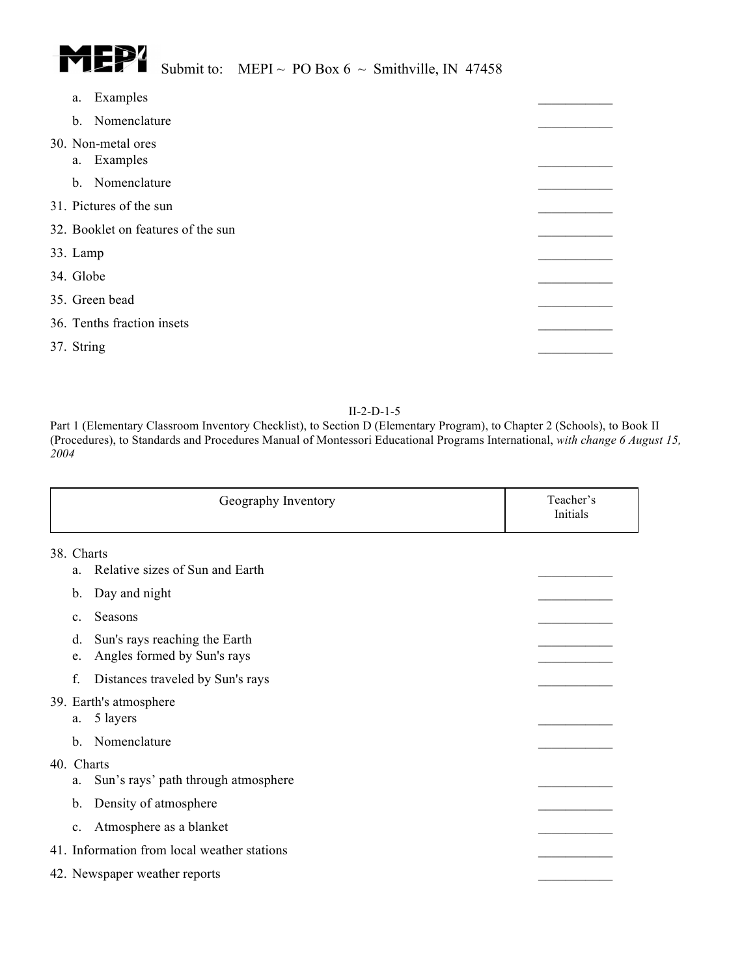

# Submit to: MEPI ~ PO Box 6 ~ Smithville, IN 47458

|                                    | a. | Examples                          |  |
|------------------------------------|----|-----------------------------------|--|
|                                    |    | b. Nomenclature                   |  |
|                                    |    | 30. Non-metal ores<br>a. Examples |  |
|                                    |    | b. Nomenclature                   |  |
| 31. Pictures of the sun            |    |                                   |  |
| 32. Booklet on features of the sun |    |                                   |  |
| 33. Lamp                           |    |                                   |  |
| 34. Globe                          |    |                                   |  |
| 35. Green bead                     |    |                                   |  |
|                                    |    | 36. Tenths fraction insets        |  |
| 37. String                         |    |                                   |  |

#### II-2-D-1-5

| Geography Inventory                                                      | Teacher's<br>Initials |
|--------------------------------------------------------------------------|-----------------------|
| 38. Charts                                                               |                       |
| Relative sizes of Sun and Earth<br>a.                                    |                       |
| Day and night<br>b.                                                      |                       |
| Seasons<br>C <sub>1</sub>                                                |                       |
| Sun's rays reaching the Earth<br>d.<br>Angles formed by Sun's rays<br>e. |                       |
| f.<br>Distances traveled by Sun's rays                                   |                       |
| 39. Earth's atmosphere<br>5 layers<br>a.                                 |                       |
| Nomenclature<br>$\mathbf{b}$ .                                           |                       |
| 40. Charts<br>Sun's rays' path through atmosphere<br>a.                  |                       |
| Density of atmosphere<br>b.                                              |                       |
| Atmosphere as a blanket<br>$c_{\cdot}$                                   |                       |
| 41. Information from local weather stations                              |                       |
| 42. Newspaper weather reports                                            |                       |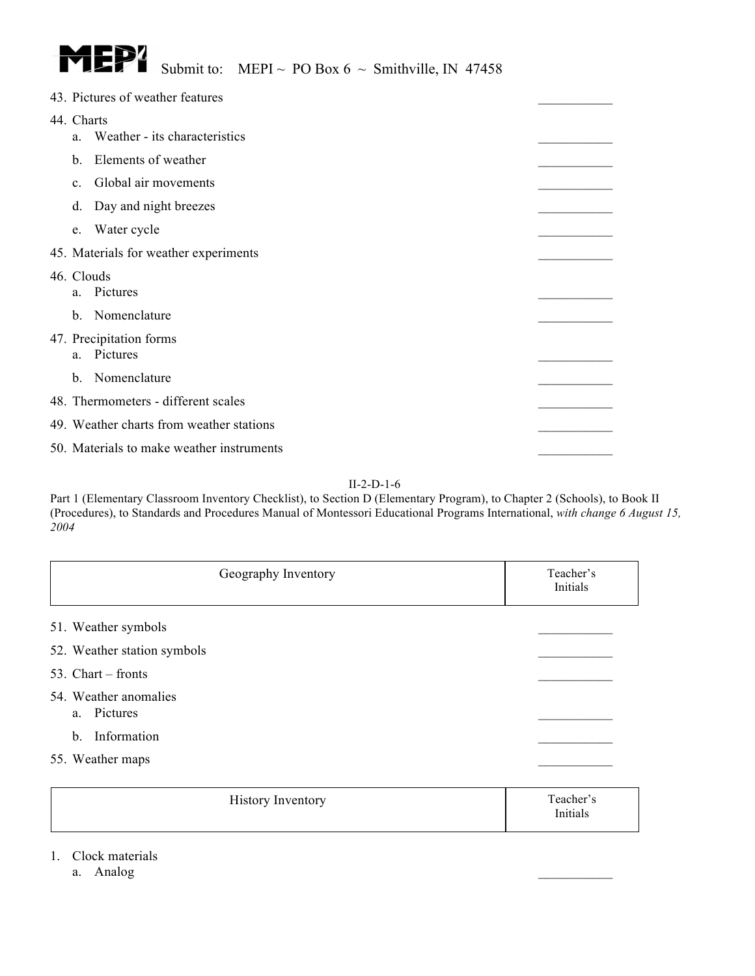

|                  | 43. Pictures of weather features          |  |
|------------------|-------------------------------------------|--|
| 44. Charts<br>a. | Weather - its characteristics             |  |
| b.               | Elements of weather                       |  |
| $\mathbf{c}$ .   | Global air movements                      |  |
| d.               | Day and night breezes                     |  |
| e.               | Water cycle                               |  |
|                  | 45. Materials for weather experiments     |  |
|                  | 46. Clouds<br>a. Pictures                 |  |
| $\mathbf{b}$ .   | Nomenclature                              |  |
| a.               | 47. Precipitation forms<br>Pictures       |  |
| $\mathbf{b}$ .   | Nomenclature                              |  |
|                  | 48. Thermometers - different scales       |  |
|                  | 49. Weather charts from weather stations  |  |
|                  | 50. Materials to make weather instruments |  |

Part 1 (Elementary Classroom Inventory Checklist), to Section D (Elementary Program), to Chapter 2 (Schools), to Book II (Procedures), to Standards and Procedures Manual of Montessori Educational Programs International, *with change 6 August 15, 2004*

| Geography Inventory                  | Teacher's<br>Initials |
|--------------------------------------|-----------------------|
| 51. Weather symbols                  |                       |
| 52. Weather station symbols          |                       |
| 53. Chart $-$ fronts                 |                       |
| 54. Weather anomalies<br>a. Pictures |                       |
| Information<br>$b$                   |                       |
| 55. Weather maps                     |                       |
| <b>History Inventory</b>             | Teacher's<br>Initials |

### 1. Clock materials

a. Analog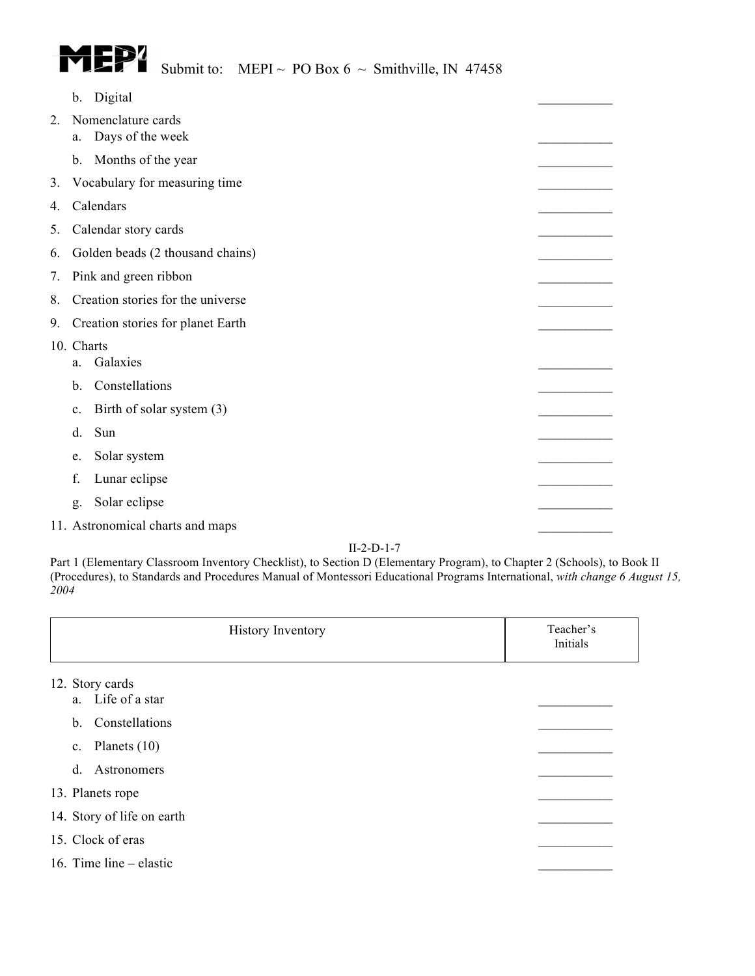

|                  | $\mathbf b$ . | Digital                                |  |
|------------------|---------------|----------------------------------------|--|
| $\overline{2}$ . | a.            | Nomenclature cards<br>Days of the week |  |
|                  |               |                                        |  |
|                  | $\mathbf b$ . | Months of the year                     |  |
| 3.               |               | Vocabulary for measuring time          |  |
| 4.               |               | Calendars                              |  |
| 5.               |               | Calendar story cards                   |  |
| 6.               |               | Golden beads (2 thousand chains)       |  |
| 7.               |               | Pink and green ribbon                  |  |
| 8.               |               | Creation stories for the universe      |  |
| 9.               |               | Creation stories for planet Earth      |  |
|                  | 10. Charts    |                                        |  |
|                  | a.            | Galaxies                               |  |
|                  | b.            | Constellations                         |  |
|                  | c.            | Birth of solar system (3)              |  |
|                  | d.            | Sun                                    |  |
|                  | e.            | Solar system                           |  |
|                  | f.            | Lunar eclipse                          |  |
|                  | g.            | Solar eclipse                          |  |
|                  |               | 11. Astronomical charts and maps       |  |

| <b>History Inventory</b>             | Teacher's<br>Initials |
|--------------------------------------|-----------------------|
| 12. Story cards<br>a. Life of a star |                       |
| Constellations<br>b.                 |                       |
| Planets $(10)$<br>$\mathbf{c}$ .     |                       |
| Astronomers<br>$d$ .                 |                       |
| 13. Planets rope                     |                       |
| 14. Story of life on earth           |                       |
| 15. Clock of eras                    |                       |
| 16. Time line $-$ elastic            |                       |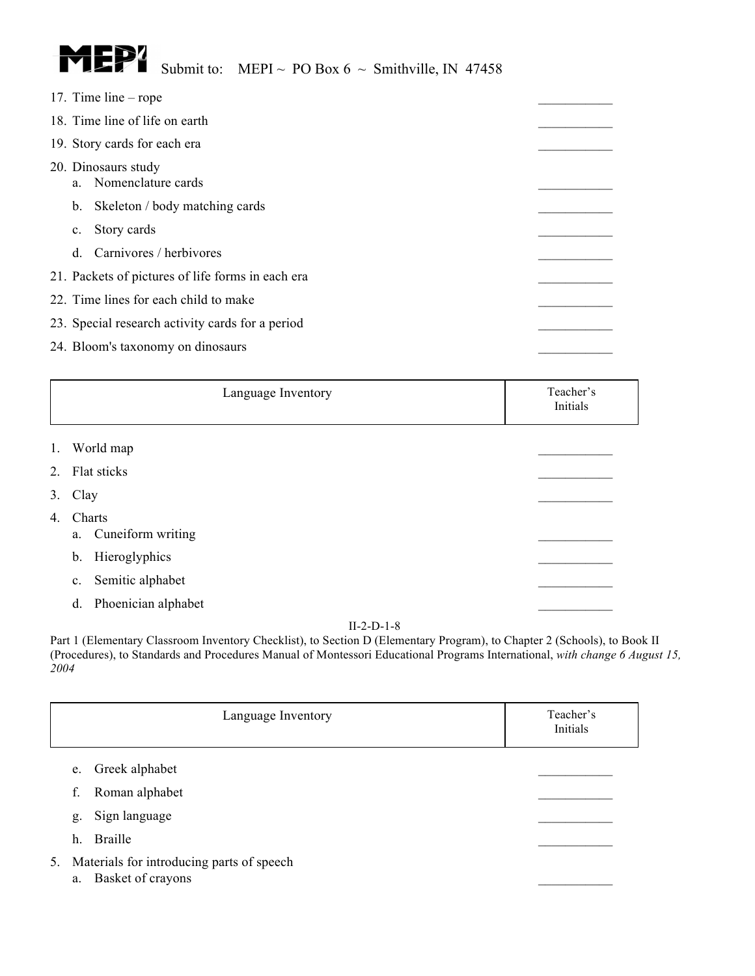

| 17. Time line $-$ rope                            |  |  |  |  |
|---------------------------------------------------|--|--|--|--|
| 18. Time line of life on earth                    |  |  |  |  |
| 19. Story cards for each era                      |  |  |  |  |
| 20. Dinosaurs study<br>a. Nomenclature cards      |  |  |  |  |
| Skeleton / body matching cards<br>$b_{\cdot}$     |  |  |  |  |
| Story cards<br>$\mathbf{c}$ .                     |  |  |  |  |
| Carnivores / herbivores<br><sub>d</sub>           |  |  |  |  |
| 21. Packets of pictures of life forms in each era |  |  |  |  |
| 22. Time lines for each child to make             |  |  |  |  |
| 23. Special research activity cards for a period  |  |  |  |  |
| 24. Bloom's taxonomy on dinosaurs                 |  |  |  |  |

|  | Language Inventory | Teacher's<br>Initials |
|--|--------------------|-----------------------|
|--|--------------------|-----------------------|

- 1. World map
- 2. Flat sticks
- $3. \text{Clay}$
- 4. Charts
	- a. Cuneiform writing
	- b. Hieroglyphics
	- c. Semitic alphabet
	- d. Phoenician alphabet

| Language Inventory | Teacher's<br>Initials |
|--------------------|-----------------------|
|--------------------|-----------------------|

- e. Greek alphabet
- f. Roman alphabet \_\_\_\_\_\_\_\_\_\_\_
- g. Sign language
- h. Braille
- 5. Materials for introducing parts of speech
	- a. Basket of crayons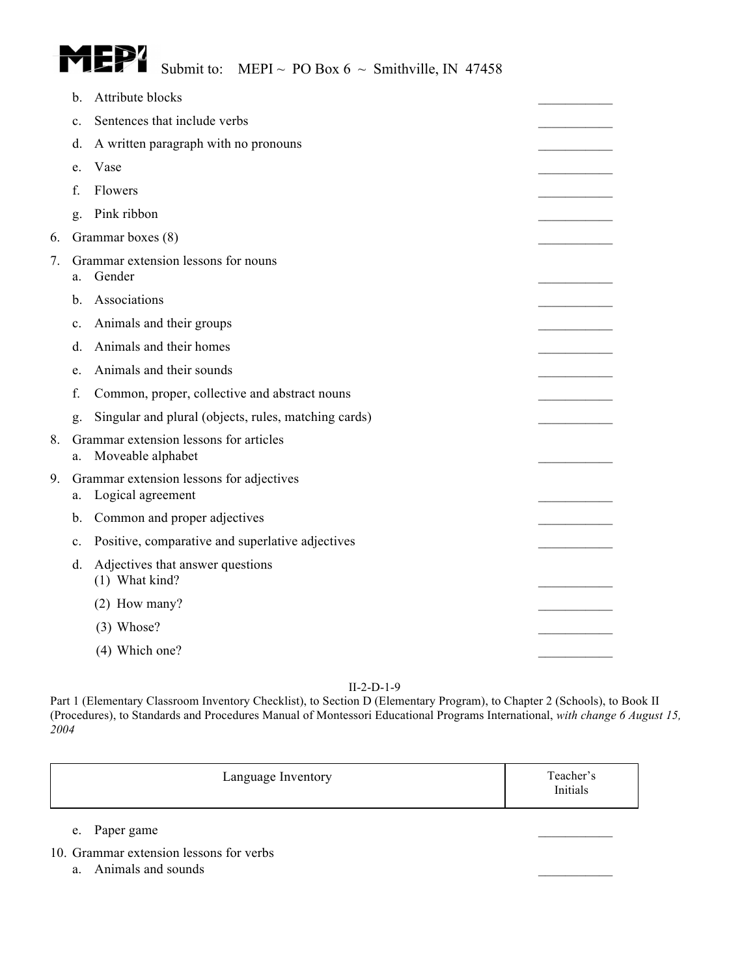

| b.             | Attribute blocks                                     |                                                                                                                                                |
|----------------|------------------------------------------------------|------------------------------------------------------------------------------------------------------------------------------------------------|
| $\mathbf{c}$ . | Sentences that include verbs                         |                                                                                                                                                |
| d.             | A written paragraph with no pronouns                 |                                                                                                                                                |
| e.             | Vase                                                 |                                                                                                                                                |
| f              | Flowers                                              |                                                                                                                                                |
| g.             | Pink ribbon                                          |                                                                                                                                                |
|                |                                                      |                                                                                                                                                |
| a.             | Gender                                               |                                                                                                                                                |
| b.             | Associations                                         |                                                                                                                                                |
| $\mathbf{c}$ . | Animals and their groups                             |                                                                                                                                                |
| d.             | Animals and their homes                              |                                                                                                                                                |
| e.             | Animals and their sounds                             |                                                                                                                                                |
| f.             | Common, proper, collective and abstract nouns        |                                                                                                                                                |
| g.             | Singular and plural (objects, rules, matching cards) |                                                                                                                                                |
| a.             | Moveable alphabet                                    |                                                                                                                                                |
| a.             | Logical agreement                                    |                                                                                                                                                |
| b.             | Common and proper adjectives                         |                                                                                                                                                |
| $\mathbf{c}$ . | Positive, comparative and superlative adjectives     |                                                                                                                                                |
| d.             | Adjectives that answer questions<br>(1) What kind?   |                                                                                                                                                |
|                | (2) How many?                                        |                                                                                                                                                |
|                | $(3)$ Whose?                                         |                                                                                                                                                |
|                | (4) Which one?                                       |                                                                                                                                                |
|                |                                                      | Grammar boxes (8)<br>Grammar extension lessons for nouns<br>Grammar extension lessons for articles<br>Grammar extension lessons for adjectives |

Part 1 (Elementary Classroom Inventory Checklist), to Section D (Elementary Program), to Chapter 2 (Schools), to Book II (Procedures), to Standards and Procedures Manual of Montessori Educational Programs International, *with change 6 August 15, 2004*

| Teacher's<br>Language Inventory<br>Initials |
|---------------------------------------------|
|---------------------------------------------|

e. Paper game

10. Grammar extension lessons for verbs

a. Animals and sounds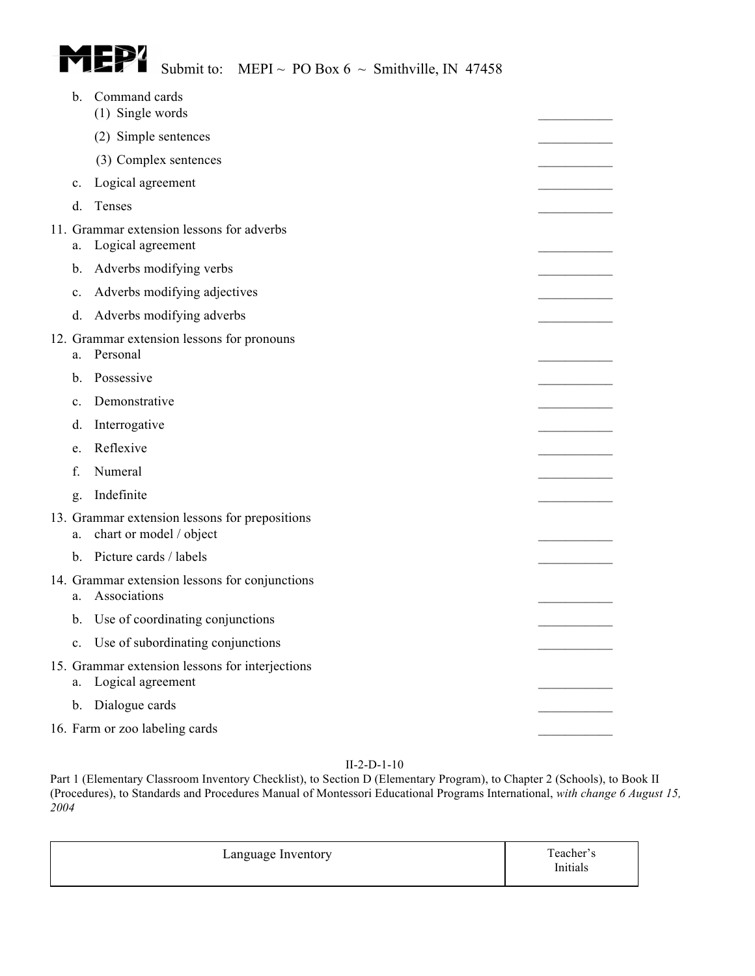

| b.             | Command cards<br>(1) Single words                                         |  |
|----------------|---------------------------------------------------------------------------|--|
|                | (2) Simple sentences                                                      |  |
|                | (3) Complex sentences                                                     |  |
| $\mathbf{c}$ . | Logical agreement                                                         |  |
| d.             | Tenses                                                                    |  |
| a.             | 11. Grammar extension lessons for adverbs<br>Logical agreement            |  |
| b.             | Adverbs modifying verbs                                                   |  |
| C <sub>1</sub> | Adverbs modifying adjectives                                              |  |
| d.             | Adverbs modifying adverbs                                                 |  |
| a.             | 12. Grammar extension lessons for pronouns<br>Personal                    |  |
| b.             | Possessive                                                                |  |
| $\mathbf{c}$ . | Demonstrative                                                             |  |
| d.             | Interrogative                                                             |  |
| e.             | Reflexive                                                                 |  |
| f.             | Numeral                                                                   |  |
| g.             | Indefinite                                                                |  |
| a.             | 13. Grammar extension lessons for prepositions<br>chart or model / object |  |
| b.             | Picture cards / labels                                                    |  |
| a.             | 14. Grammar extension lessons for conjunctions<br>Associations            |  |
| b.             | Use of coordinating conjunctions                                          |  |
| $\mathbf{c}$ . | Use of subordinating conjunctions                                         |  |
| a.             | 15. Grammar extension lessons for interjections<br>Logical agreement      |  |
| b.             | Dialogue cards                                                            |  |
|                | 16. Farm or zoo labeling cards                                            |  |

| Language Inventory | Teacher's<br>Initials |
|--------------------|-----------------------|
|--------------------|-----------------------|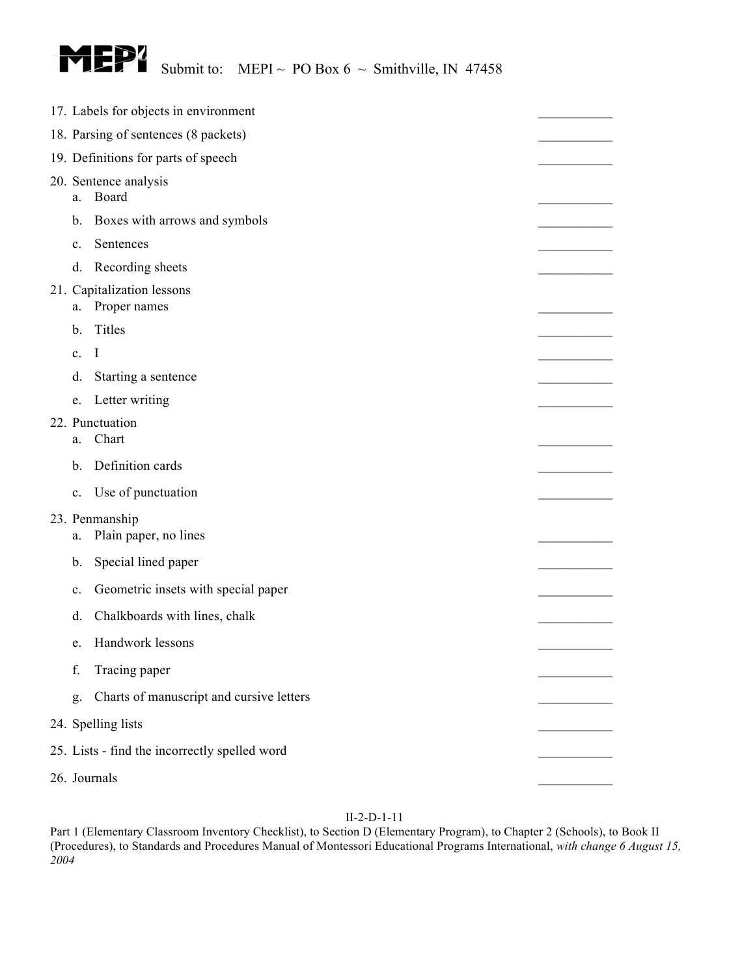

| 17. Labels for objects in environment |                                               |  |  |
|---------------------------------------|-----------------------------------------------|--|--|
| 18. Parsing of sentences (8 packets)  |                                               |  |  |
| 19. Definitions for parts of speech   |                                               |  |  |
| 20. Sentence analysis<br>Board<br>a.  |                                               |  |  |
| b.                                    | Boxes with arrows and symbols                 |  |  |
| c.                                    | Sentences                                     |  |  |
| d.                                    | Recording sheets                              |  |  |
| a.                                    | 21. Capitalization lessons<br>Proper names    |  |  |
| b.                                    | Titles                                        |  |  |
| $\mathbf{c}$ .                        | $\mathbf I$                                   |  |  |
| d.                                    | Starting a sentence                           |  |  |
| e.                                    | Letter writing                                |  |  |
| a.                                    | 22. Punctuation<br>Chart                      |  |  |
| b.                                    | Definition cards                              |  |  |
| c.                                    | Use of punctuation                            |  |  |
| a.                                    | 23. Penmanship<br>Plain paper, no lines       |  |  |
| b.                                    | Special lined paper                           |  |  |
| c.                                    | Geometric insets with special paper           |  |  |
| d.                                    | Chalkboards with lines, chalk                 |  |  |
| e.                                    | Handwork lessons                              |  |  |
| f.                                    | Tracing paper                                 |  |  |
| g.                                    | Charts of manuscript and cursive letters      |  |  |
|                                       | 24. Spelling lists                            |  |  |
|                                       | 25. Lists - find the incorrectly spelled word |  |  |
| 26. Journals                          |                                               |  |  |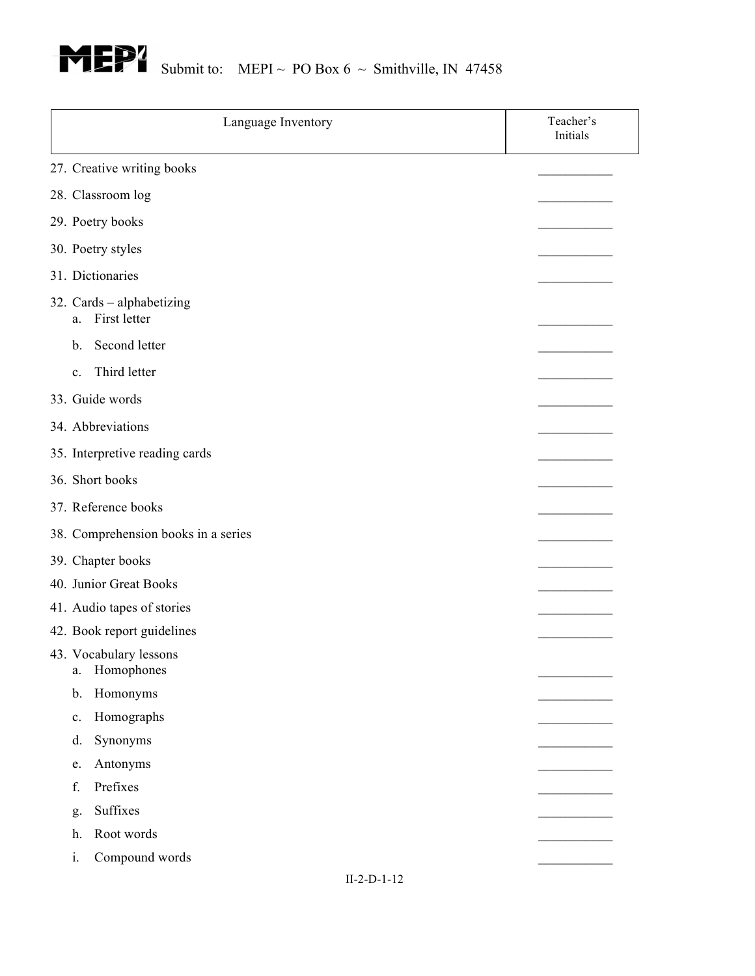

| Language Inventory<br>Initials                  | Teacher's |
|-------------------------------------------------|-----------|
| 27. Creative writing books                      |           |
| 28. Classroom log                               |           |
| 29. Poetry books                                |           |
| 30. Poetry styles                               |           |
| 31. Dictionaries                                |           |
| 32. Cards - alphabetizing<br>First letter<br>a. |           |
| Second letter<br>b.                             |           |
| Third letter<br>$\mathbf{c}$ .                  |           |
| 33. Guide words                                 |           |
| 34. Abbreviations                               |           |
| 35. Interpretive reading cards                  |           |
| 36. Short books                                 |           |
|                                                 |           |
| 37. Reference books                             |           |
| 38. Comprehension books in a series             |           |
| 39. Chapter books                               |           |
| 40. Junior Great Books                          |           |
| 41. Audio tapes of stories                      |           |
| 42. Book report guidelines                      |           |
| 43. Vocabulary lessons<br>Homophones<br>a.      |           |
| Homonyms<br>b.                                  |           |
| Homographs                                      |           |
| $\mathbf{c}$ .<br>Synonyms<br>d.                |           |
| Antonyms                                        |           |
| e.<br>Prefixes<br>f.                            |           |
| Suffixes                                        |           |
| g.<br>Root words                                |           |
| h.<br>i.<br>Compound words                      |           |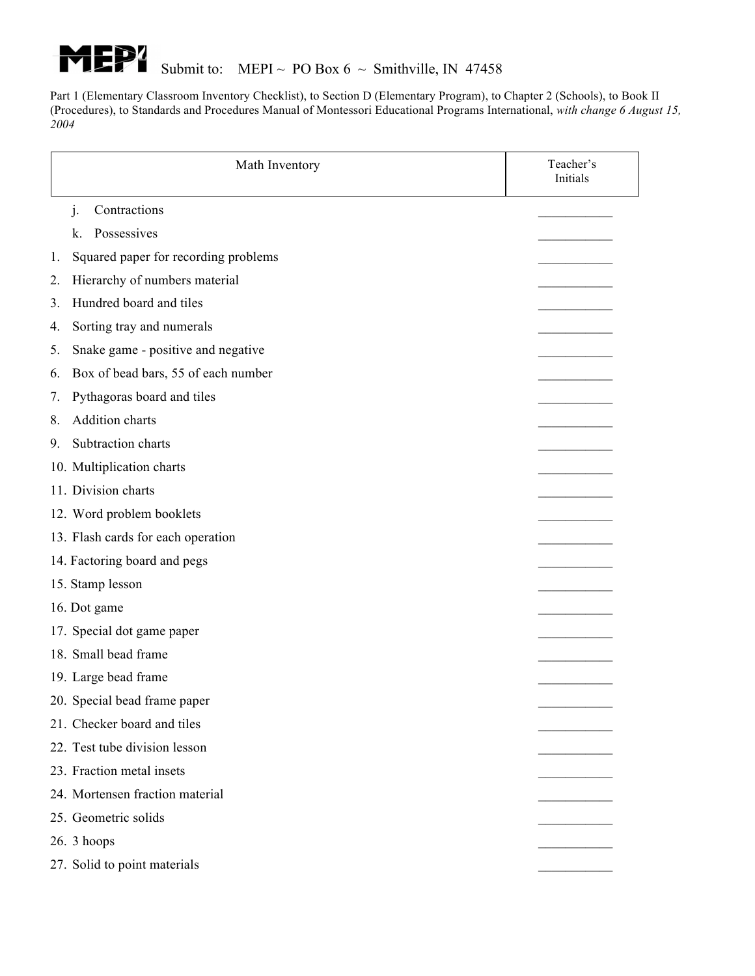

|    | Math Inventory                       | Teacher's<br>Initials |
|----|--------------------------------------|-----------------------|
|    | Contractions<br>$\cdot$              |                       |
|    | Possessives<br>k.                    |                       |
| 1. | Squared paper for recording problems |                       |
| 2. | Hierarchy of numbers material        |                       |
| 3. | Hundred board and tiles              |                       |
| 4. | Sorting tray and numerals            |                       |
| 5. | Snake game - positive and negative   |                       |
| 6. | Box of bead bars, 55 of each number  |                       |
| 7. | Pythagoras board and tiles           |                       |
| 8. | Addition charts                      |                       |
| 9. | Subtraction charts                   |                       |
|    | 10. Multiplication charts            |                       |
|    | 11. Division charts                  |                       |
|    | 12. Word problem booklets            |                       |
|    | 13. Flash cards for each operation   |                       |
|    | 14. Factoring board and pegs         |                       |
|    | 15. Stamp lesson                     |                       |
|    | 16. Dot game                         |                       |
|    | 17. Special dot game paper           |                       |
|    | 18. Small bead frame                 |                       |
|    | 19. Large bead frame                 |                       |
|    | 20. Special bead frame paper         |                       |
|    | 21. Checker board and tiles          |                       |
|    | 22. Test tube division lesson        |                       |
|    | 23. Fraction metal insets            |                       |
|    | 24. Mortensen fraction material      |                       |
|    | 25. Geometric solids                 |                       |
|    | $26.3$ hoops                         |                       |
|    | 27. Solid to point materials         |                       |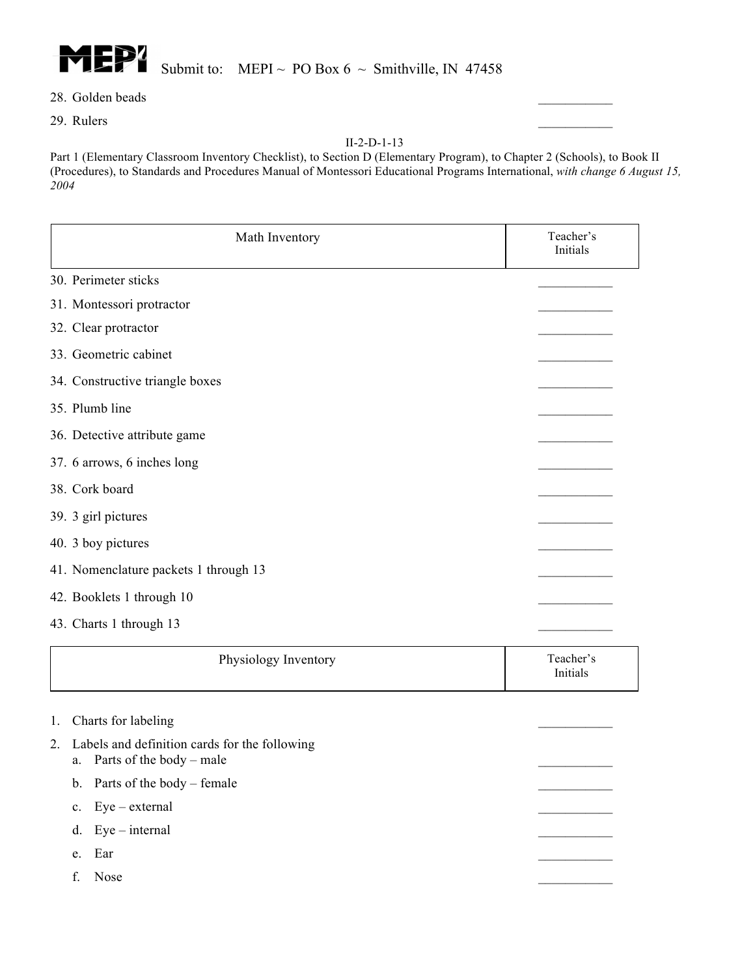

- 28. Golden beads
- 29. Rulers \_\_\_\_\_\_\_\_\_\_\_

| Math Inventory                                                                   | Teacher's<br>Initials |
|----------------------------------------------------------------------------------|-----------------------|
| 30. Perimeter sticks                                                             |                       |
| 31. Montessori protractor                                                        |                       |
| 32. Clear protractor                                                             |                       |
| 33. Geometric cabinet                                                            |                       |
| 34. Constructive triangle boxes                                                  |                       |
| 35. Plumb line                                                                   |                       |
| 36. Detective attribute game                                                     |                       |
| 37. 6 arrows, 6 inches long                                                      |                       |
| 38. Cork board                                                                   |                       |
| 39. 3 girl pictures                                                              |                       |
| 40. 3 boy pictures                                                               |                       |
| 41. Nomenclature packets 1 through 13                                            |                       |
| 42. Booklets 1 through 10                                                        |                       |
| 43. Charts 1 through 13                                                          |                       |
| Physiology Inventory                                                             | Teacher's<br>Initials |
| Charts for labeling<br>1.<br>Labels and definition cards for the following<br>2. |                       |

- a. Parts of the body male
- b. Parts of the body female
- c. Eye external
- d. Eye internal \_\_\_\_\_\_\_\_\_\_\_
- e. Ear  $\Box$
- f. Nose \_\_\_\_\_\_\_\_\_\_\_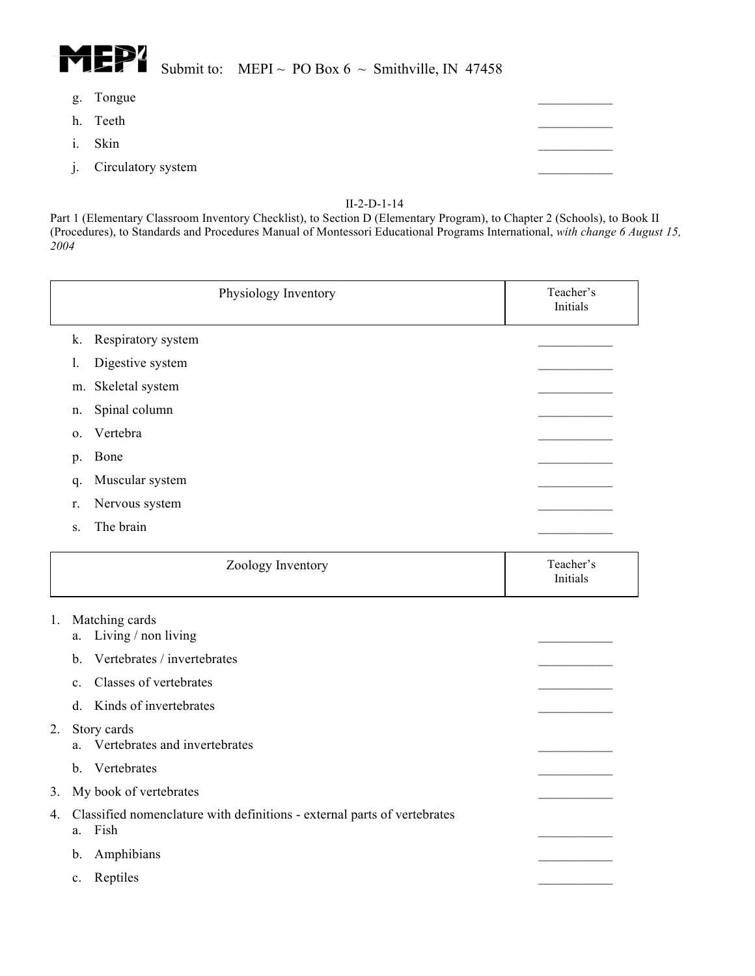

## Submit to: MEPI ~ PO Box  $6 \sim$  Smithville, IN 47458

- g. Tongue
- h. Teeth
- i. Skin
	- j. Circulatory system

#### II-2-D-1-14

|    |                | Physiology Inventory                                                             | Teacher's<br>Initials |
|----|----------------|----------------------------------------------------------------------------------|-----------------------|
|    | k.             | Respiratory system                                                               |                       |
|    | 1.             | Digestive system                                                                 |                       |
|    | m.             | Skeletal system                                                                  |                       |
|    | n.             | Spinal column                                                                    |                       |
|    | 0.             | Vertebra                                                                         |                       |
|    | p.             | Bone                                                                             |                       |
|    | q.             | Muscular system                                                                  |                       |
|    | r.             | Nervous system                                                                   |                       |
|    | S.             | The brain                                                                        |                       |
|    |                | Zoology Inventory                                                                | Teacher's<br>Initials |
| 1. | a.             | Matching cards<br>Living / non living                                            |                       |
|    | b.             | Vertebrates / invertebrates                                                      |                       |
|    | $\mathbf{c}$ . | Classes of vertebrates                                                           |                       |
|    | d.             | Kinds of invertebrates                                                           |                       |
| 2. | a.             | Story cards<br>Vertebrates and invertebrates                                     |                       |
|    | $\mathbf{b}$ . | Vertebrates                                                                      |                       |
| 3. |                | My book of vertebrates                                                           |                       |
| 4. | a.             | Classified nomenclature with definitions - external parts of vertebrates<br>Fish |                       |
|    | b.             | Amphibians                                                                       |                       |
|    | c.             | Reptiles                                                                         |                       |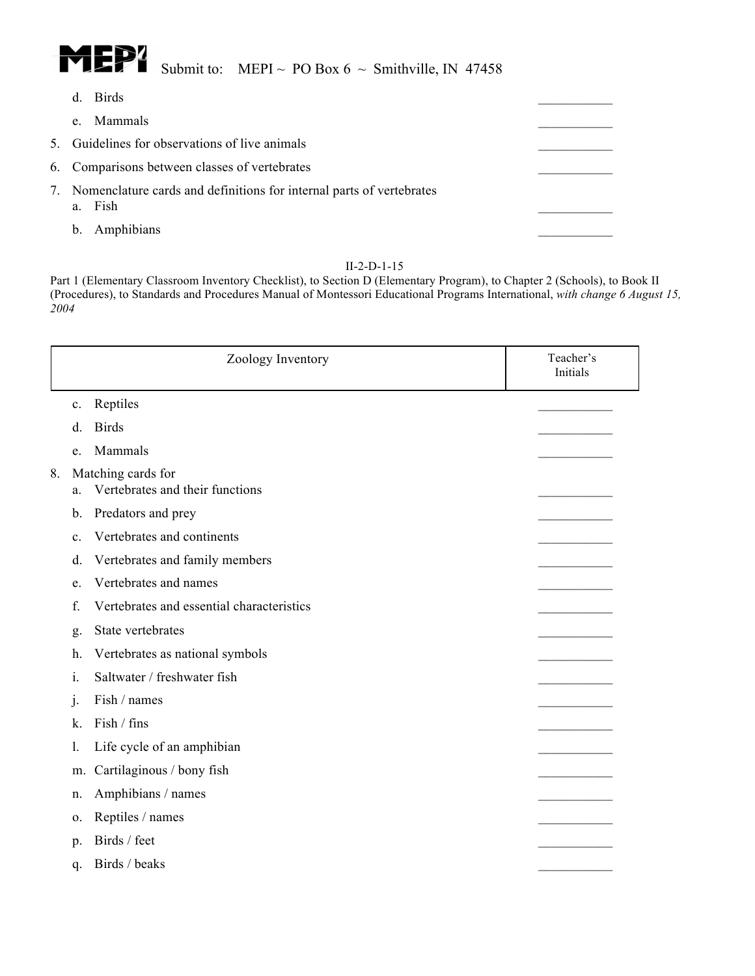

# Submit to: MEPI ~ PO Box  $6 \sim$  Smithville, IN 47458

- d. Birds
	- e. Mammals
- 5. Guidelines for observations of live animals
- 6. Comparisons between classes of vertebrates
- 7. Nomenclature cards and definitions for internal parts of vertebrates a. Fish
	- b. Amphibians

#### II-2-D-1-15

|    |                | Zoology Inventory                                     | Teacher's<br>Initials |
|----|----------------|-------------------------------------------------------|-----------------------|
|    | $c_{\cdot}$    | Reptiles                                              |                       |
|    | d.             | <b>Birds</b>                                          |                       |
|    | e.             | Mammals                                               |                       |
| 8. | a.             | Matching cards for<br>Vertebrates and their functions |                       |
|    | b.             | Predators and prey                                    |                       |
|    | $\mathbf{c}$ . | Vertebrates and continents                            |                       |
|    | d.             | Vertebrates and family members                        |                       |
|    | e.             | Vertebrates and names                                 |                       |
|    | f.             | Vertebrates and essential characteristics             |                       |
|    | g.             | State vertebrates                                     |                       |
|    | h.             | Vertebrates as national symbols                       |                       |
|    | i.             | Saltwater / freshwater fish                           |                       |
|    | $\mathbf{1}$ . | Fish / names                                          |                       |
|    | k.             | Fish / fins                                           |                       |
|    | 1.             | Life cycle of an amphibian                            |                       |
|    | m.             | Cartilaginous / bony fish                             |                       |
|    | n.             | Amphibians / names                                    |                       |
|    | 0.             | Reptiles / names                                      |                       |
|    | p.             | Birds / feet                                          |                       |
|    | q.             | Birds / beaks                                         |                       |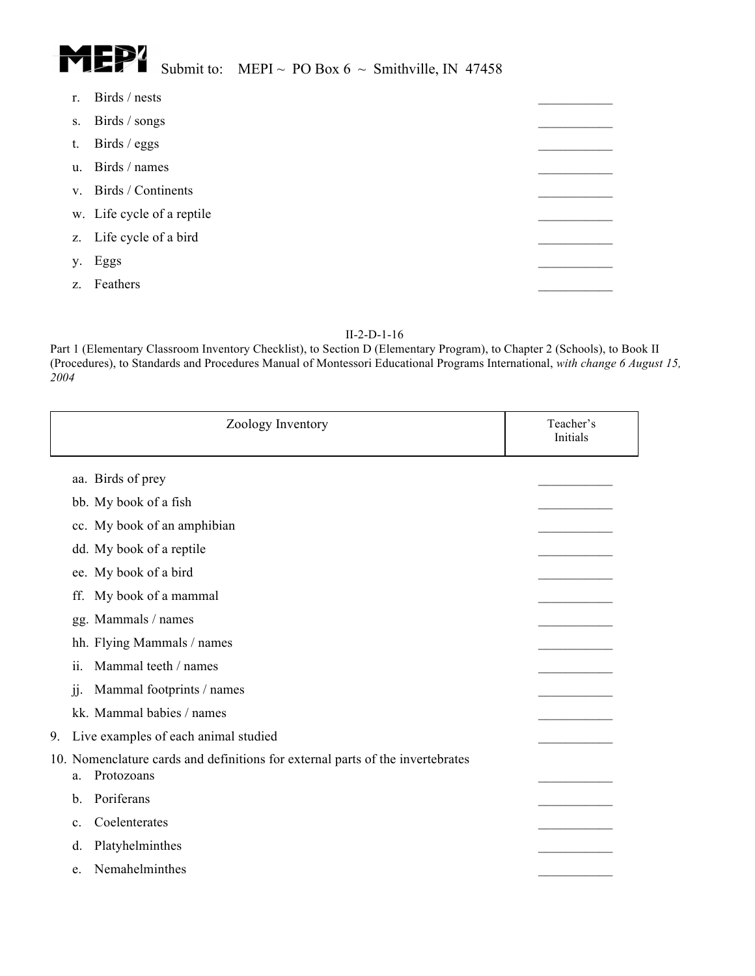

| Birds / nests     |                                                                                                    |
|-------------------|----------------------------------------------------------------------------------------------------|
| Birds / songs     |                                                                                                    |
| Birds / eggs      |                                                                                                    |
|                   |                                                                                                    |
|                   |                                                                                                    |
|                   |                                                                                                    |
|                   |                                                                                                    |
| Eggs              |                                                                                                    |
| Feathers          |                                                                                                    |
| y.<br>$Z_{\cdot}$ | u. Birds / names<br>v. Birds / Continents<br>w. Life cycle of a reptile<br>z. Life cycle of a bird |

| Zoology Inventory                                                                                  | Teacher's<br>Initials |
|----------------------------------------------------------------------------------------------------|-----------------------|
| aa. Birds of prey                                                                                  |                       |
| bb. My book of a fish                                                                              |                       |
| cc. My book of an amphibian                                                                        |                       |
| dd. My book of a reptile                                                                           |                       |
| ee. My book of a bird                                                                              |                       |
| My book of a mammal<br>ff.                                                                         |                       |
| gg. Mammals / names                                                                                |                       |
| hh. Flying Mammals / names                                                                         |                       |
| Mammal teeth / names<br>ii.                                                                        |                       |
| Mammal footprints / names<br>jj.                                                                   |                       |
| kk. Mammal babies / names                                                                          |                       |
| 9.<br>Live examples of each animal studied                                                         |                       |
| 10. Nomenclature cards and definitions for external parts of the invertebrates<br>Protozoans<br>a. |                       |
| Poriferans<br>$\mathbf{b}$ .                                                                       |                       |
| Coelenterates<br>$\mathbf{c}$ .                                                                    |                       |
| Platyhelminthes<br>d.                                                                              |                       |
| Nemahelminthes<br>e.                                                                               |                       |
|                                                                                                    |                       |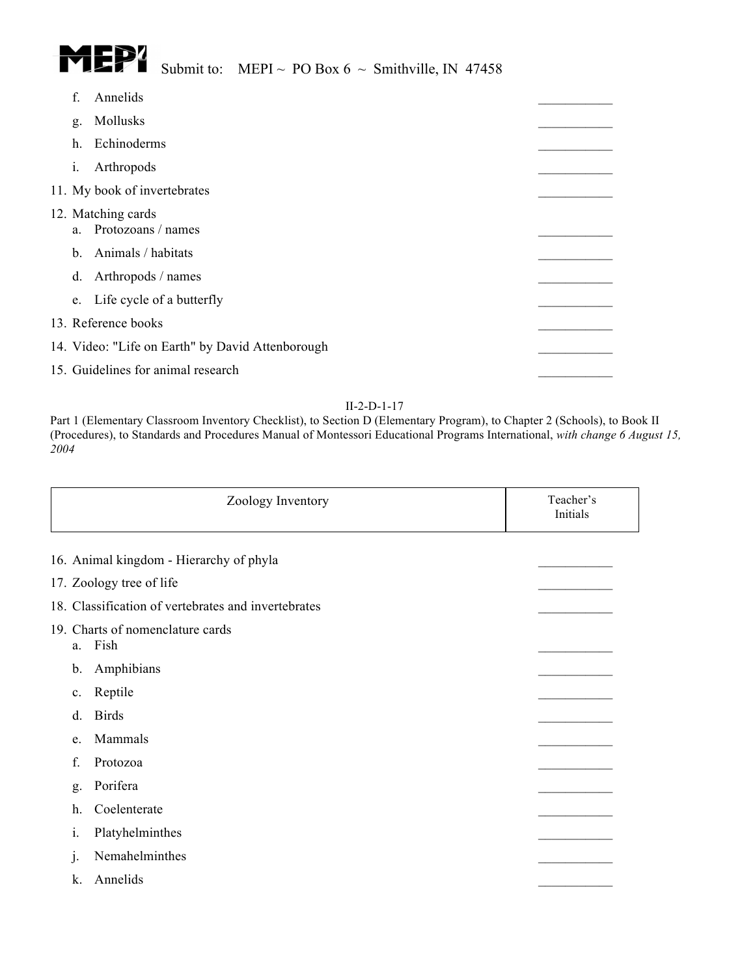

| $\mathbf{f}$   | Annelids                                         |  |
|----------------|--------------------------------------------------|--|
| g.             | Mollusks                                         |  |
| h.             | Echinoderms                                      |  |
| $\mathbf{i}$ . | Arthropods                                       |  |
|                | 11. My book of invertebrates                     |  |
|                | 12. Matching cards<br>a. Protozoans / names      |  |
|                | b. Animals / habitats                            |  |
| d.             | Arthropods / names                               |  |
| e.             | Life cycle of a butterfly                        |  |
|                | 13. Reference books                              |  |
|                | 14. Video: "Life on Earth" by David Attenborough |  |
|                | 15. Guidelines for animal research               |  |

| Zoology Inventory                                   | Teacher's<br>Initials |  |
|-----------------------------------------------------|-----------------------|--|
| 16. Animal kingdom - Hierarchy of phyla             |                       |  |
| 17. Zoology tree of life                            |                       |  |
| 18. Classification of vertebrates and invertebrates |                       |  |
| 19. Charts of nomenclature cards<br>Fish<br>a.      |                       |  |
| Amphibians<br>b.                                    |                       |  |
| Reptile<br>c.                                       |                       |  |
| <b>Birds</b><br>d.                                  |                       |  |
| Mammals<br>e.                                       |                       |  |
| f.<br>Protozoa                                      |                       |  |
| Porifera<br>g.                                      |                       |  |
| Coelenterate<br>h.                                  |                       |  |
| Platyhelminthes<br>1.                               |                       |  |
| Nemahelminthes<br>1.                                |                       |  |
| Annelids<br>k.                                      |                       |  |